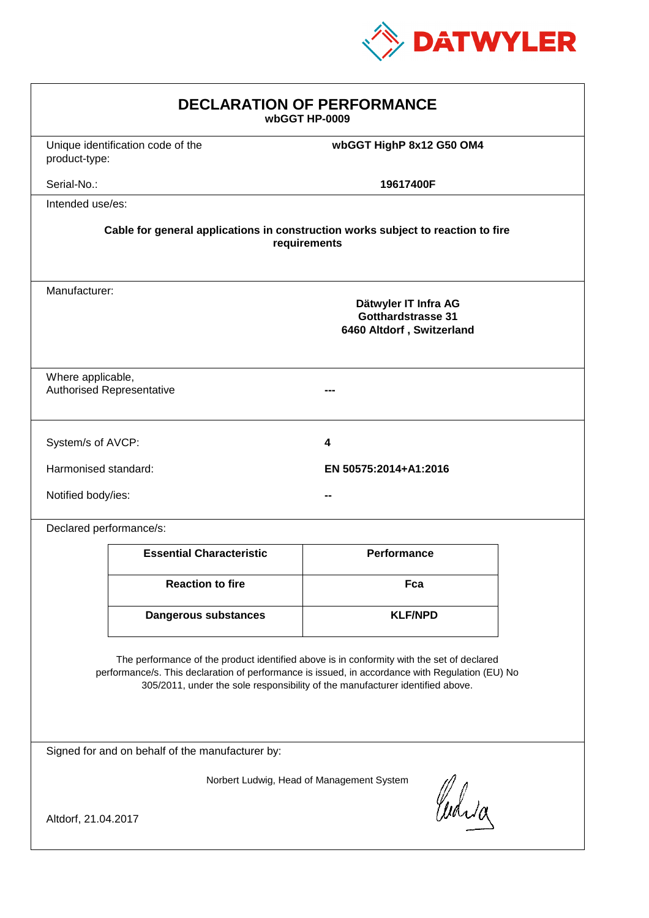

| <b>DECLARATION OF PERFORMANCE</b><br>wbGGT HP-0009                                                                                                                                                                                                                            |                                   |                          |  |  |
|-------------------------------------------------------------------------------------------------------------------------------------------------------------------------------------------------------------------------------------------------------------------------------|-----------------------------------|--------------------------|--|--|
| product-type:                                                                                                                                                                                                                                                                 | Unique identification code of the | wbGGT HighP 8x12 G50 OM4 |  |  |
| Serial-No.:                                                                                                                                                                                                                                                                   |                                   | 19617400F                |  |  |
| Intended use/es:                                                                                                                                                                                                                                                              |                                   |                          |  |  |
| Cable for general applications in construction works subject to reaction to fire<br>requirements                                                                                                                                                                              |                                   |                          |  |  |
| Manufacturer:<br>Dätwyler IT Infra AG<br>Gotthardstrasse 31<br>6460 Altdorf, Switzerland                                                                                                                                                                                      |                                   |                          |  |  |
| Where applicable,                                                                                                                                                                                                                                                             | <b>Authorised Representative</b>  |                          |  |  |
| System/s of AVCP:                                                                                                                                                                                                                                                             |                                   | 4                        |  |  |
| Harmonised standard:                                                                                                                                                                                                                                                          |                                   | EN 50575:2014+A1:2016    |  |  |
|                                                                                                                                                                                                                                                                               | Notified body/ies:                |                          |  |  |
| Declared performance/s:                                                                                                                                                                                                                                                       |                                   |                          |  |  |
|                                                                                                                                                                                                                                                                               | <b>Essential Characteristic</b>   | Performance              |  |  |
|                                                                                                                                                                                                                                                                               | <b>Reaction to fire</b>           | Fca                      |  |  |
|                                                                                                                                                                                                                                                                               | <b>Dangerous substances</b>       | <b>KLF/NPD</b>           |  |  |
| The performance of the product identified above is in conformity with the set of declared<br>performance/s. This declaration of performance is issued, in accordance with Regulation (EU) No<br>305/2011, under the sole responsibility of the manufacturer identified above. |                                   |                          |  |  |
| Signed for and on behalf of the manufacturer by:                                                                                                                                                                                                                              |                                   |                          |  |  |
| Norbert Ludwig, Head of Management System                                                                                                                                                                                                                                     |                                   |                          |  |  |
| Curia<br>Altdorf, 21.04.2017                                                                                                                                                                                                                                                  |                                   |                          |  |  |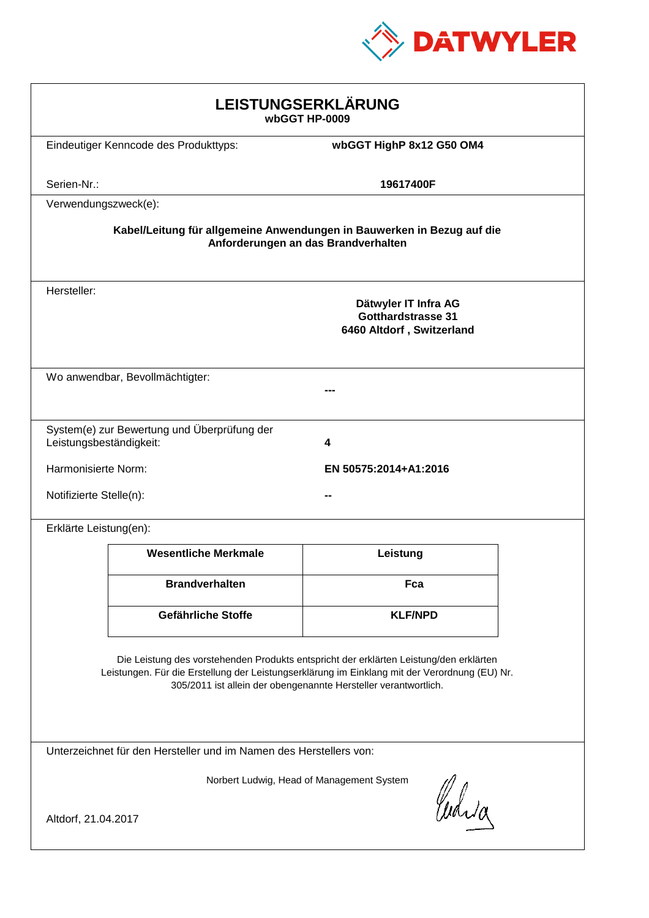

| <b>LEISTUNGSERKLÄRUNG</b><br>wbGGT HP-0009                                                                                                                                                                                                                 |                                              |                                                                                |  |  |
|------------------------------------------------------------------------------------------------------------------------------------------------------------------------------------------------------------------------------------------------------------|----------------------------------------------|--------------------------------------------------------------------------------|--|--|
|                                                                                                                                                                                                                                                            | Eindeutiger Kenncode des Produkttyps:        | wbGGT HighP 8x12 G50 OM4                                                       |  |  |
| Serien-Nr.:                                                                                                                                                                                                                                                |                                              | 19617400F                                                                      |  |  |
| Verwendungszweck(e):                                                                                                                                                                                                                                       |                                              |                                                                                |  |  |
| Kabel/Leitung für allgemeine Anwendungen in Bauwerken in Bezug auf die<br>Anforderungen an das Brandverhalten                                                                                                                                              |                                              |                                                                                |  |  |
| Hersteller:                                                                                                                                                                                                                                                |                                              | Dätwyler IT Infra AG<br><b>Gotthardstrasse 31</b><br>6460 Altdorf, Switzerland |  |  |
|                                                                                                                                                                                                                                                            | Wo anwendbar, Bevollmächtigter:              |                                                                                |  |  |
| Leistungsbeständigkeit:                                                                                                                                                                                                                                    | System(e) zur Bewertung und Überprüfung der  | 4                                                                              |  |  |
|                                                                                                                                                                                                                                                            | Harmonisierte Norm:<br>EN 50575:2014+A1:2016 |                                                                                |  |  |
| Notifizierte Stelle(n):                                                                                                                                                                                                                                    |                                              |                                                                                |  |  |
| Erklärte Leistung(en):                                                                                                                                                                                                                                     |                                              |                                                                                |  |  |
|                                                                                                                                                                                                                                                            | <b>Wesentliche Merkmale</b>                  | Leistung                                                                       |  |  |
|                                                                                                                                                                                                                                                            | <b>Brandverhalten</b>                        | Fca                                                                            |  |  |
|                                                                                                                                                                                                                                                            | <b>Gefährliche Stoffe</b>                    | <b>KLF/NPD</b>                                                                 |  |  |
| Die Leistung des vorstehenden Produkts entspricht der erklärten Leistung/den erklärten<br>Leistungen. Für die Erstellung der Leistungserklärung im Einklang mit der Verordnung (EU) Nr.<br>305/2011 ist allein der obengenannte Hersteller verantwortlich. |                                              |                                                                                |  |  |
| Unterzeichnet für den Hersteller und im Namen des Herstellers von:                                                                                                                                                                                         |                                              |                                                                                |  |  |
| Norbert Ludwig, Head of Management System<br>Whila<br>Altdorf, 21.04.2017                                                                                                                                                                                  |                                              |                                                                                |  |  |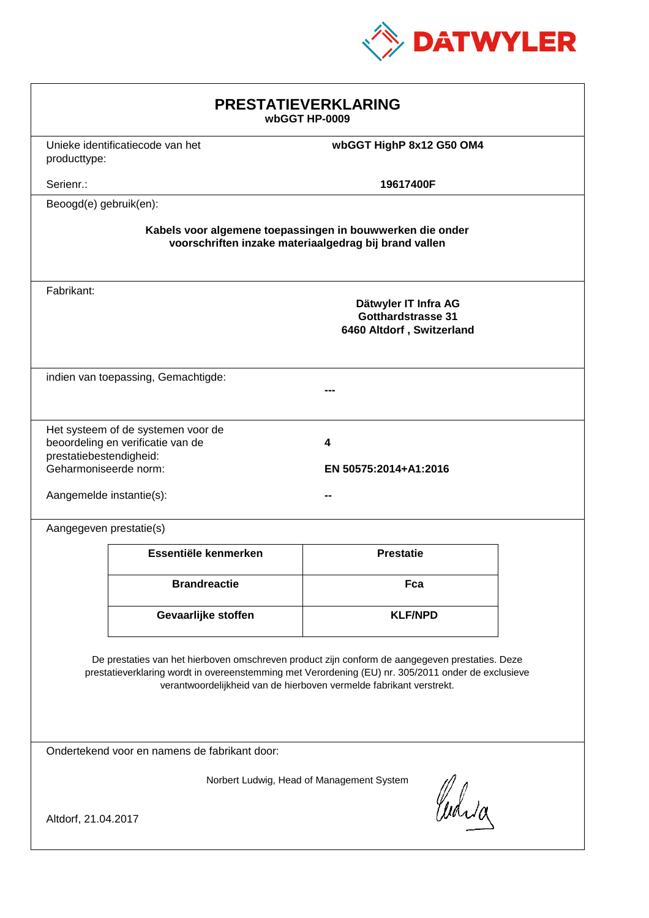

| <b>PRESTATIEVERKLARING</b><br>wbGGT HP-0009                                                                                                                                                                                                                                 |                                                                              |                                                                                |  |  |
|-----------------------------------------------------------------------------------------------------------------------------------------------------------------------------------------------------------------------------------------------------------------------------|------------------------------------------------------------------------------|--------------------------------------------------------------------------------|--|--|
|                                                                                                                                                                                                                                                                             | Unieke identificatiecode van het<br>wbGGT HighP 8x12 G50 OM4<br>producttype: |                                                                                |  |  |
| Serienr.:                                                                                                                                                                                                                                                                   |                                                                              | 19617400F                                                                      |  |  |
| Beoogd(e) gebruik(en):                                                                                                                                                                                                                                                      |                                                                              |                                                                                |  |  |
| Kabels voor algemene toepassingen in bouwwerken die onder<br>voorschriften inzake materiaalgedrag bij brand vallen                                                                                                                                                          |                                                                              |                                                                                |  |  |
| Fabrikant:                                                                                                                                                                                                                                                                  |                                                                              | Dätwyler IT Infra AG<br><b>Gotthardstrasse 31</b><br>6460 Altdorf, Switzerland |  |  |
| indien van toepassing, Gemachtigde:                                                                                                                                                                                                                                         |                                                                              |                                                                                |  |  |
| Het systeem of de systemen voor de<br>beoordeling en verificatie van de<br>4<br>prestatiebestendigheid:<br>Geharmoniseerde norm:<br>EN 50575:2014+A1:2016<br>Aangemelde instantie(s):                                                                                       |                                                                              |                                                                                |  |  |
| Aangegeven prestatie(s)                                                                                                                                                                                                                                                     |                                                                              |                                                                                |  |  |
|                                                                                                                                                                                                                                                                             | Essentiële kenmerken                                                         | <b>Prestatie</b>                                                               |  |  |
|                                                                                                                                                                                                                                                                             | <b>Brandreactie</b>                                                          | Fca                                                                            |  |  |
|                                                                                                                                                                                                                                                                             | Gevaarlijke stoffen                                                          | <b>KLF/NPD</b>                                                                 |  |  |
| De prestaties van het hierboven omschreven product zijn conform de aangegeven prestaties. Deze<br>prestatieverklaring wordt in overeenstemming met Verordening (EU) nr. 305/2011 onder de exclusieve<br>verantwoordelijkheid van de hierboven vermelde fabrikant verstrekt. |                                                                              |                                                                                |  |  |
| Ondertekend voor en namens de fabrikant door:                                                                                                                                                                                                                               |                                                                              |                                                                                |  |  |
| Norbert Ludwig, Head of Management System<br>Curia<br>Altdorf, 21.04.2017                                                                                                                                                                                                   |                                                                              |                                                                                |  |  |
|                                                                                                                                                                                                                                                                             |                                                                              |                                                                                |  |  |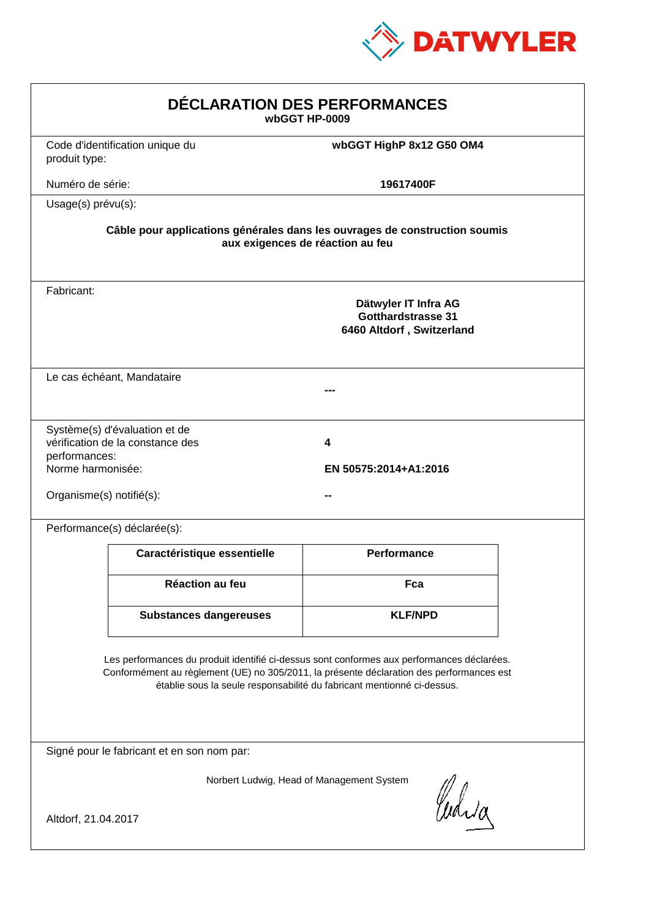

| <b>DÉCLARATION DES PERFORMANCES</b><br>wbGGT HP-0009                                                                                                                                                                                                             |                                                                                                                |                                                                                |  |  |  |
|------------------------------------------------------------------------------------------------------------------------------------------------------------------------------------------------------------------------------------------------------------------|----------------------------------------------------------------------------------------------------------------|--------------------------------------------------------------------------------|--|--|--|
| produit type:                                                                                                                                                                                                                                                    | Code d'identification unique du                                                                                | wbGGT HighP 8x12 G50 OM4                                                       |  |  |  |
| Numéro de série:                                                                                                                                                                                                                                                 |                                                                                                                | 19617400F                                                                      |  |  |  |
|                                                                                                                                                                                                                                                                  | Usage(s) prévu(s):                                                                                             |                                                                                |  |  |  |
|                                                                                                                                                                                                                                                                  | Câble pour applications générales dans les ouvrages de construction soumis<br>aux exigences de réaction au feu |                                                                                |  |  |  |
| Fabricant:                                                                                                                                                                                                                                                       |                                                                                                                | Dätwyler IT Infra AG<br><b>Gotthardstrasse 31</b><br>6460 Altdorf, Switzerland |  |  |  |
|                                                                                                                                                                                                                                                                  | Le cas échéant, Mandataire                                                                                     |                                                                                |  |  |  |
| performances:<br>Norme harmonisée:<br>Organisme(s) notifié(s):                                                                                                                                                                                                   | Système(s) d'évaluation et de<br>vérification de la constance des                                              | 4<br>EN 50575:2014+A1:2016                                                     |  |  |  |
|                                                                                                                                                                                                                                                                  | Performance(s) déclarée(s):                                                                                    |                                                                                |  |  |  |
|                                                                                                                                                                                                                                                                  | Caractéristique essentielle                                                                                    | Performance                                                                    |  |  |  |
|                                                                                                                                                                                                                                                                  | Réaction au feu                                                                                                | Fca                                                                            |  |  |  |
|                                                                                                                                                                                                                                                                  | <b>Substances dangereuses</b>                                                                                  | <b>KLF/NPD</b>                                                                 |  |  |  |
| Les performances du produit identifié ci-dessus sont conformes aux performances déclarées.<br>Conformément au règlement (UE) no 305/2011, la présente déclaration des performances est<br>établie sous la seule responsabilité du fabricant mentionné ci-dessus. |                                                                                                                |                                                                                |  |  |  |
|                                                                                                                                                                                                                                                                  | Signé pour le fabricant et en son nom par:                                                                     |                                                                                |  |  |  |
| Norbert Ludwig, Head of Management System<br>Whia<br>Altdorf, 21.04.2017                                                                                                                                                                                         |                                                                                                                |                                                                                |  |  |  |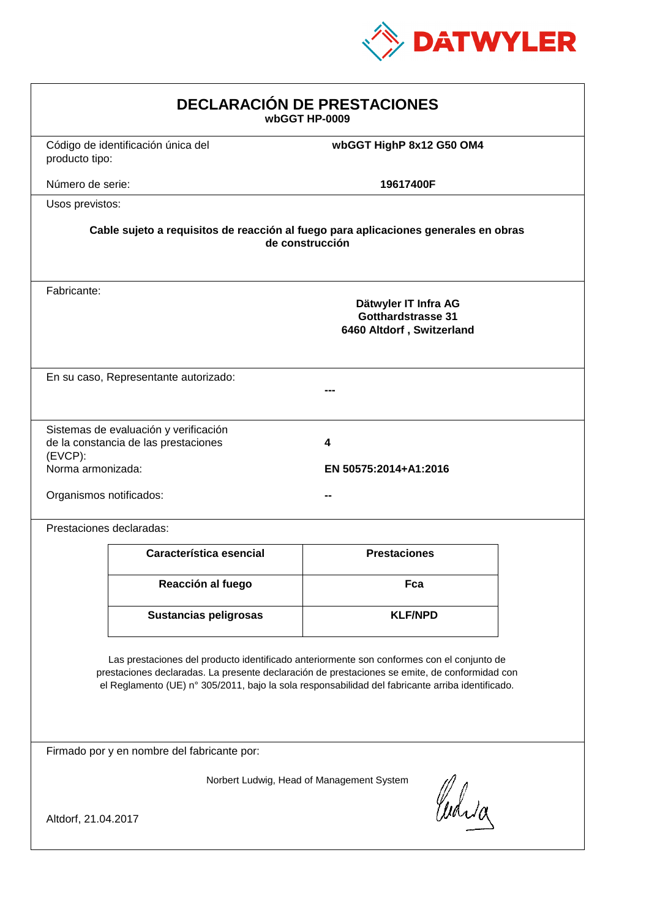

| <b>DECLARACIÓN DE PRESTACIONES</b><br>wbGGT HP-0009                                                                                                                                                                                                                                            |                                       |                                                                                |  |  |
|------------------------------------------------------------------------------------------------------------------------------------------------------------------------------------------------------------------------------------------------------------------------------------------------|---------------------------------------|--------------------------------------------------------------------------------|--|--|
| producto tipo:                                                                                                                                                                                                                                                                                 | Código de identificación única del    | wbGGT HighP 8x12 G50 OM4                                                       |  |  |
| Número de serie:                                                                                                                                                                                                                                                                               |                                       | 19617400F                                                                      |  |  |
| Usos previstos:                                                                                                                                                                                                                                                                                |                                       |                                                                                |  |  |
| Cable sujeto a requisitos de reacción al fuego para aplicaciones generales en obras<br>de construcción                                                                                                                                                                                         |                                       |                                                                                |  |  |
| Fabricante:                                                                                                                                                                                                                                                                                    |                                       | Dätwyler IT Infra AG<br><b>Gotthardstrasse 31</b><br>6460 Altdorf, Switzerland |  |  |
|                                                                                                                                                                                                                                                                                                | En su caso, Representante autorizado: |                                                                                |  |  |
| Sistemas de evaluación y verificación<br>de la constancia de las prestaciones<br>4<br>(EVCP):<br>Norma armonizada:<br>EN 50575:2014+A1:2016<br>Organismos notificados:                                                                                                                         |                                       |                                                                                |  |  |
| Prestaciones declaradas:                                                                                                                                                                                                                                                                       |                                       |                                                                                |  |  |
|                                                                                                                                                                                                                                                                                                | Característica esencial               | <b>Prestaciones</b>                                                            |  |  |
|                                                                                                                                                                                                                                                                                                | Reacción al fuego                     | Fca                                                                            |  |  |
|                                                                                                                                                                                                                                                                                                | <b>Sustancias peligrosas</b>          | <b>KLF/NPD</b>                                                                 |  |  |
| Las prestaciones del producto identificado anteriormente son conformes con el conjunto de<br>prestaciones declaradas. La presente declaración de prestaciones se emite, de conformidad con<br>el Reglamento (UE) nº 305/2011, bajo la sola responsabilidad del fabricante arriba identificado. |                                       |                                                                                |  |  |
| Firmado por y en nombre del fabricante por:                                                                                                                                                                                                                                                    |                                       |                                                                                |  |  |
| Norbert Ludwig, Head of Management System<br>Curia<br>Altdorf, 21.04.2017                                                                                                                                                                                                                      |                                       |                                                                                |  |  |